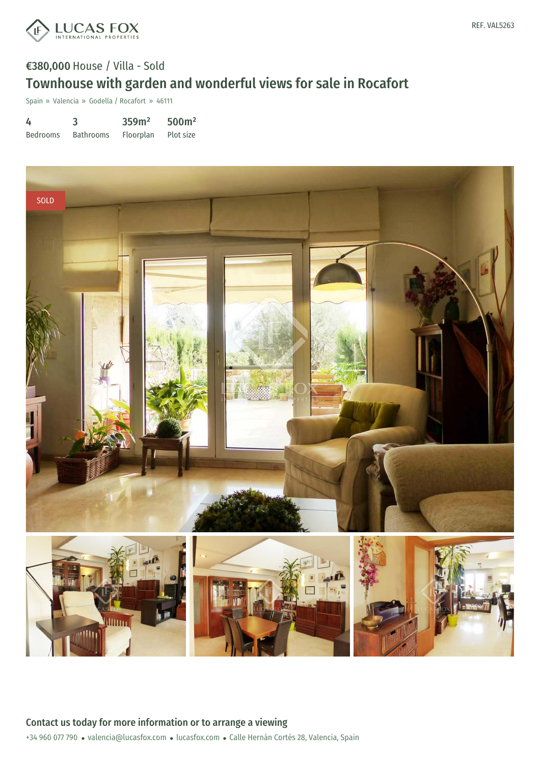

# €380,000 House / Villa - Sold Townhouse with garden and wonderful views for sale in Rocafort

Spain » Valencia » Godella / Rocafort » 46111

| 4               | 3                | 359m <sup>2</sup> | 500 <sup>m²</sup> |
|-----------------|------------------|-------------------|-------------------|
| <b>Bedrooms</b> | <b>Bathrooms</b> | Floorplan         | Plot size         |



REF. VAL5263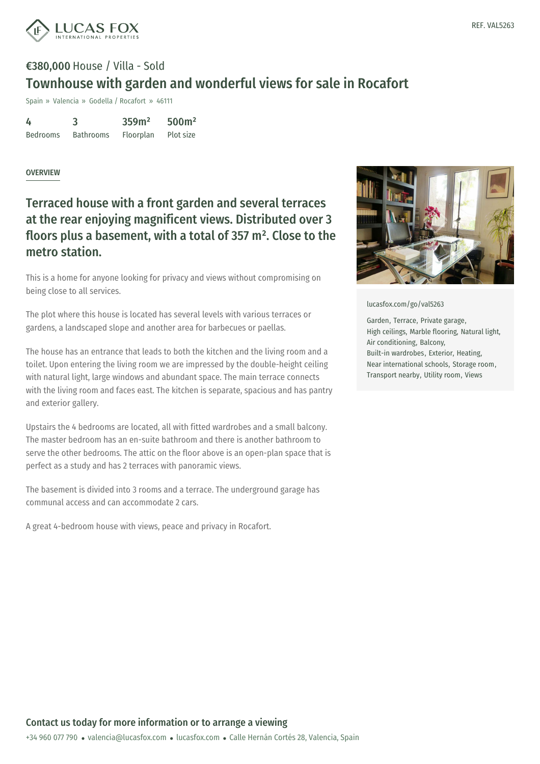



# €380,000 House / Villa - Sold Townhouse with garden and wonderful views for sale in Rocafort

Spain » Valencia » Godella / Rocafort » 46111

| 4               | 3                | 359m <sup>2</sup> | 500 <sup>m²</sup> |
|-----------------|------------------|-------------------|-------------------|
| <b>Bedrooms</b> | <b>Bathrooms</b> | Floorplan         | Plot size         |

#### OVERVIEW

### Terraced house with a front garden and several terraces at the rear enjoying magnificent views. Distributed over 3 floors plus a basement, with a total of 357 m². Close to the metro station.

This is a home for anyone looking for privacy and views without compromising on being close to all services.

The plot where this house is located has several levels with various terraces or gardens, a landscaped slope and another area for barbecues or paellas.

The house has an entrance that leads to both the kitchen and the living room and a toilet. Upon entering the living room we are impressed by the double-height ceiling with natural light, large windows and abundant space. The main terrace connects with the living room and faces east. The kitchen is separate, spacious and has pantry and exterior gallery.

Upstairs the 4 bedrooms are located, all with fitted wardrobes and a small balcony. The master bedroom has an en-suite bathroom and there is another bathroom to serve the other bedrooms. The attic on the floor above is an open-plan space that is perfect as a study and has 2 terraces with panoramic views.

The basement is divided into 3 rooms and a terrace. The underground garage has communal access and can accommodate 2 cars.

A great 4-bedroom house with views, peace and privacy in Rocafort.



[lucasfox.com/go/val5263](https://www.lucasfox.com/go/val5263)

Garden, Terrace, Private garage, High ceilings, Marble flooring, Natural light, Air conditioning, Balcony, Built-in wardrobes, Exterior, Heating, Near international schools, Storage room, Transport nearby, Utility room, Views